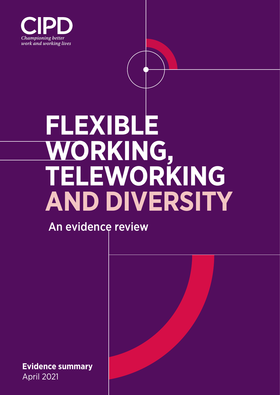

# **FLEXIBLE WORKING, TELEWORKING AND DIVERSITY**

An evidence review

**Evidence summary** April 2021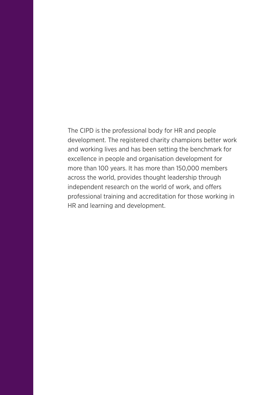The CIPD is the professional body for HR and people development. The registered charity champions better work and working lives and has been setting the benchmark for excellence in people and organisation development for more than 100 years. It has more than 150,000 members across the world, provides thought leadership through independent research on the world of work, and offers professional training and accreditation for those working in HR and learning and development.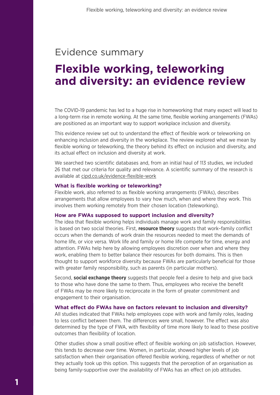## Evidence summary

# **Flexible working, teleworking and diversity: an evidence review**

The COVID-19 pandemic has led to a huge rise in homeworking that many expect will lead to a long-term rise in remote working. At the same time, flexible working arrangements (FWAs) are positioned as an important way to support workplace inclusion and diversity.

This evidence review set out to understand the effect of flexible work or teleworking on enhancing inclusion and diversity in the workplace. The review explored what we mean by flexible working or teleworking, the theory behind its effect on inclusion and diversity, and its actual effect on inclusion and diversity at work.

We searched two scientific databases and, from an initial haul of 113 studies, we included 26 that met our criteria for quality and relevance. A scientific summary of the research is available at [cipd.co.uk/evidence-flexible-work](http://cipd.co.uk/evidence-flexible-work)

#### **What is flexible working or teleworking?**

Flexible work, also referred to as flexible working arrangements (FWAs), describes arrangements that allow employees to vary how much, when and where they work. This involves them working remotely from their chosen location (teleworking).

#### **How are FWAs supposed to support inclusion and diversity?**

The idea that flexible working helps individuals manage work and family responsibilities is based on two social theories. First, **resource theory** suggests that work–family conflict occurs when the demands of work drain the resources needed to meet the demands of home life, or vice versa. Work life and family or home life compete for time, energy and attention. FWAs help here by allowing employees discretion over when and where they work, enabling them to better balance their resources for both domains. This is then thought to support workforce diversity because FWAs are particularly beneficial for those with greater family responsibility, such as parents (in particular mothers).

Second, **social exchange theory** suggests that people feel a desire to help and give back to those who have done the same to them. Thus, employees who receive the benefit of FWAs may be more likely to reciprocate in the form of greater commitment and engagement to their organisation.

#### **What effect do FWAs have on factors relevant to inclusion and diversity?**

All studies indicated that FWAs help employees cope with work and family roles, leading to less conflict between them. The differences were small, however. The effect was also determined by the type of FWA, with flexibility of time more likely to lead to these positive outcomes than flexibility of location.

Other studies show a small positive effect of flexible working on job satisfaction. However, this tends to decrease over time. Women, in particular, showed higher levels of job satisfaction when their organisation offered flexible working, regardless of whether or not they actually took up this option. This suggests that the perception of an organisation as being family-supportive over the availability of FWAs has an effect on job attitudes.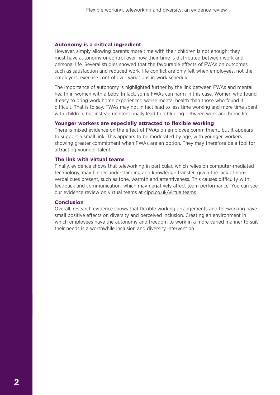#### **Autonomy is a critical ingredient**

However, simply allowing parents more time with their children is not enough; they must have autonomy or control over how their time is distributed between work and personal life. Several studies showed that the favourable effects of FWAs on outcomes such as satisfaction and reduced work–life conflict are only felt when employees, not the employers, exercise control over variations in work schedule.

The importance of autonomy is highlighted further by the link between FWAs and mental health in women with a baby. In fact, some FWAs can harm in this case. Women who found it easy to bring work home experienced worse mental health than those who found it difficult. That is to say, FWAs may not in fact lead to less time working and more time spent with children, but instead unintentionally lead to a blurring between work and home life.

#### **Younger workers are especially attracted to flexible working**

There is mixed evidence on the effect of FWAs on employee commitment, but it appears to support a small link. This appears to be moderated by age, with younger workers showing greater commitment when FWAs are an option. They may therefore be a tool for attracting younger talent.

#### **The link with virtual teams**

Finally, evidence shows that teleworking in particular, which relies on computer-mediated technology, may hinder understanding and knowledge transfer, given the lack of nonverbal cues present, such as tone, warmth and attentiveness. This causes difficulty with feedback and communication, which may negatively affect team performance. You can see our evidence review on virtual teams at [cipd.co.uk/virtualteams](http://www.cipd.co.uk/virtualteams)

#### **Conclusion**

Overall, research evidence shows that flexible working arrangements and teleworking have small positive effects on diversity and perceived inclusion. Creating an environment in which employees have the autonomy and freedom to work in a more varied manner to suit their needs is a worthwhile inclusion and diversity intervention.